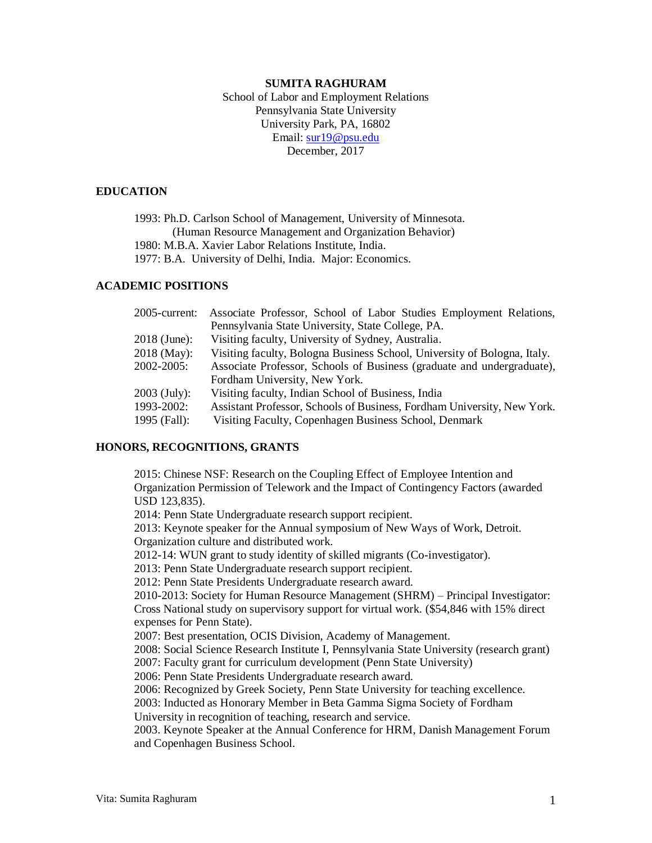# **SUMITA RAGHURAM**

School of Labor and Employment Relations Pennsylvania State University University Park, PA, 16802 Email: [sur19@psu.edu](mailto:sur19@psu.edu) December, 2017

### **EDUCATION**

1993: Ph.D. Carlson School of Management, University of Minnesota. (Human Resource Management and Organization Behavior) 1980: M.B.A. Xavier Labor Relations Institute, India. 1977: B.A. University of Delhi, India. Major: Economics.

# **ACADEMIC POSITIONS**

| $2005$ -current: | Associate Professor, School of Labor Studies Employment Relations,       |
|------------------|--------------------------------------------------------------------------|
|                  | Pennsylvania State University, State College, PA.                        |
| $2018$ (June):   | Visiting faculty, University of Sydney, Australia.                       |
| $2018$ (May):    | Visiting faculty, Bologna Business School, University of Bologna, Italy. |
| 2002-2005:       | Associate Professor, Schools of Business (graduate and undergraduate),   |
|                  | Fordham University, New York.                                            |
| $2003$ (July):   | Visiting faculty, Indian School of Business, India                       |
| 1993-2002:       | Assistant Professor, Schools of Business, Fordham University, New York.  |
| 1995 (Fall):     | Visiting Faculty, Copenhagen Business School, Denmark                    |

### **HONORS, RECOGNITIONS, GRANTS**

2015: Chinese NSF: Research on the Coupling Effect of Employee Intention and Organization Permission of Telework and the Impact of Contingency Factors (awarded USD 123,835).

2014: Penn State Undergraduate research support recipient.

2013: Keynote speaker for the Annual symposium of New Ways of Work, Detroit. Organization culture and distributed work.

2012-14: WUN grant to study identity of skilled migrants (Co-investigator).

2013: Penn State Undergraduate research support recipient.

2012: Penn State Presidents Undergraduate research award.

2010-2013: Society for Human Resource Management (SHRM) – Principal Investigator: Cross National study on supervisory support for virtual work. (\$54,846 with 15% direct expenses for Penn State).

2007: Best presentation, OCIS Division, Academy of Management.

2008: Social Science Research Institute I, Pennsylvania State University (research grant)

2007: Faculty grant for curriculum development (Penn State University)

2006: Penn State Presidents Undergraduate research award.

2006: Recognized by Greek Society, Penn State University for teaching excellence.

2003: Inducted as Honorary Member in Beta Gamma Sigma Society of Fordham

University in recognition of teaching, research and service.

2003. Keynote Speaker at the Annual Conference for HRM, Danish Management Forum and Copenhagen Business School.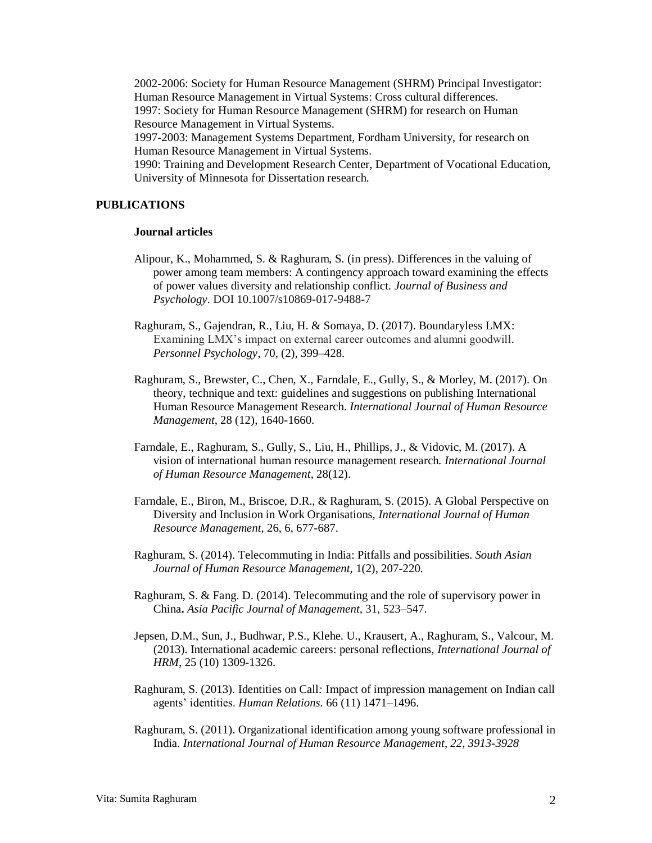2002-2006: Society for Human Resource Management (SHRM) Principal Investigator: Human Resource Management in Virtual Systems: Cross cultural differences. 1997: Society for Human Resource Management (SHRM) for research on Human Resource Management in Virtual Systems. 1997-2003: Management Systems Department, Fordham University, for research on

Human Resource Management in Virtual Systems. 1990: Training and Development Research Center, Department of Vocational Education, University of Minnesota for Dissertation research.

# **PUBLICATIONS**

#### **Journal articles**

- Alipour, K., Mohammed, S. & Raghuram, S. (in press). Differences in the valuing of power among team members: A contingency approach toward examining the effects of power values diversity and relationship conflict. *Journal of Business and Psychology*. DOI 10.1007/s10869-017-9488-7
- Raghuram, S., Gajendran, R., Liu, H. & Somaya, D. (2017). Boundaryless LMX: Examining LMX's impact on external career outcomes and alumni goodwill. *Personnel Psychology*, 70, (2), 399–428.
- Raghuram, S., Brewster, C., Chen, X., Farndale, E., Gully, S., & Morley, M. (2017). On theory, technique and text: guidelines and suggestions on publishing International Human Resource Management Research. *International Journal of Human Resource Management*, 28 (12), 1640-1660.
- Farndale, E., Raghuram, S., Gully, S., Liu, H., Phillips, J., & Vidovic, M. (2017). A vision of international human resource management research. *International Journal of Human Resource Management*, 28(12).
- Farndale, E., Biron, M., Briscoe, D.R., & Raghuram, S. (2015). A Global Perspective on Diversity and Inclusion in Work Organisations, *International Journal of Human Resource Management*, 26, 6, 677-687.
- Raghuram, S. (2014). Telecommuting in India: Pitfalls and possibilities. *South Asian Journal of Human Resource Management,* 1(2), 207-220*.*
- Raghuram, S. & Fang. D. (2014). Telecommuting and the role of supervisory power in China**.** *Asia Pacific Journal of Management,* 31, 523–547.
- Jepsen, D.M., Sun, J., Budhwar, P.S., Klehe. U., Krausert, A., Raghuram, S., Valcour, M. (2013). International academic careers: personal reflections, *International Journal of HRM*, 25 (10) 1309-1326.
- Raghuram, S. (2013)*.* Identities on Call*:* Impact of impression management on Indian call agents' identities. *Human Relations.* 66 (11) 1471–1496.
- Raghuram, S. (2011). Organizational identification among young software professional in India. *International Journal of Human Resource Management, 22, 3913-3928*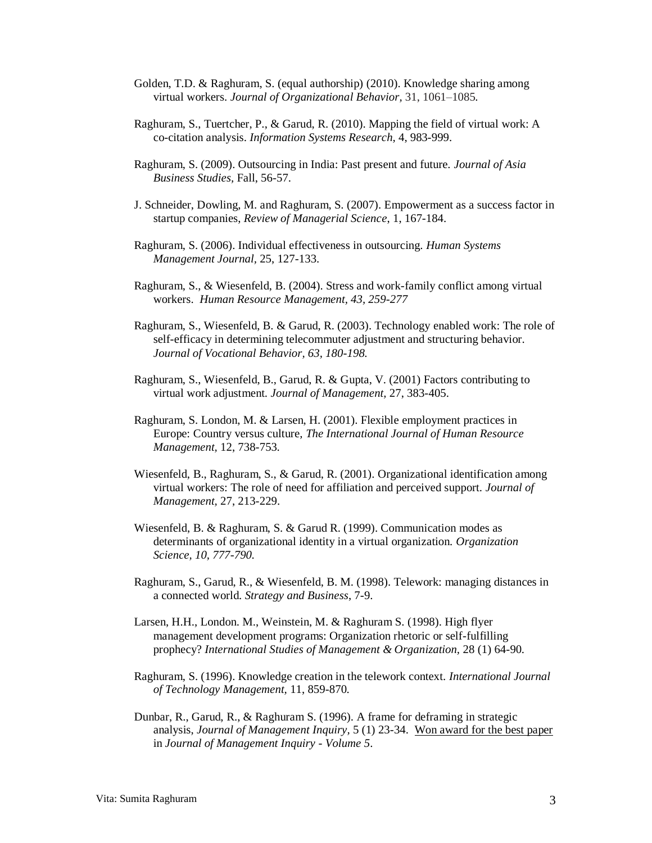- Golden, T.D. & Raghuram, S. (equal authorship) (2010). Knowledge sharing among virtual workers. *Journal of Organizational Behavior,* 31, 1061–1085*.*
- Raghuram, S., Tuertcher, P., & Garud, R. (2010). Mapping the field of virtual work: A co-citation analysis. *Information Systems Research,* 4, 983-999.
- Raghuram, S. (2009). Outsourcing in India: Past present and future. *Journal of Asia Business Studies,* Fall, 56-57.
- J. Schneider, Dowling, M. and Raghuram, S. (2007). Empowerment as a success factor in startup companies, *Review of Managerial Science*, 1, 167-184.
- Raghuram, S. (2006). Individual effectiveness in outsourcing. *Human Systems Management Journal,* 25, 127-133.
- Raghuram, S., & Wiesenfeld, B. (2004). Stress and work-family conflict among virtual workers. *Human Resource Management, 43, 259-277*
- Raghuram, S., Wiesenfeld, B. & Garud, R. (2003). Technology enabled work: The role of self-efficacy in determining telecommuter adjustment and structuring behavior. *Journal of Vocational Behavior, 63, 180-198.*
- Raghuram, S., Wiesenfeld, B., Garud, R. & Gupta, V. (2001) Factors contributing to virtual work adjustment. *Journal of Management,* 27, 383-405.
- Raghuram, S. London, M. & Larsen, H. (2001). Flexible employment practices in Europe: Country versus culture*, The International Journal of Human Resource Management,* 12, 738-753*.*
- Wiesenfeld, B., Raghuram, S., & Garud, R. (2001). Organizational identification among virtual workers: The role of need for affiliation and perceived support. *Journal of Management,* 27, 213-229.
- Wiesenfeld, B. & Raghuram, S. & Garud R. (1999). Communication modes as determinants of organizational identity in a virtual organization. *Organization Science, 10, 777-790.*
- Raghuram, S., Garud, R., & Wiesenfeld, B. M. (1998). Telework: managing distances in a connected world. *Strategy and Business*, 7-9.
- Larsen, H.H., London. M., Weinstein, M. & Raghuram S. (1998). High flyer management development programs: Organization rhetoric or self-fulfilling prophecy? *International Studies of Management & Organization,* 28 (1) 64-90*.*
- Raghuram, S. (1996). Knowledge creation in the telework context. *International Journal of Technology Management,* 11, 859-870*.*
- Dunbar, R., Garud, R., & Raghuram S. (1996). A frame for deframing in strategic analysis, *Journal of Management Inquiry,* 5 (1) 23-34. Won award for the best paper in *Journal of Management Inquiry - Volume 5*.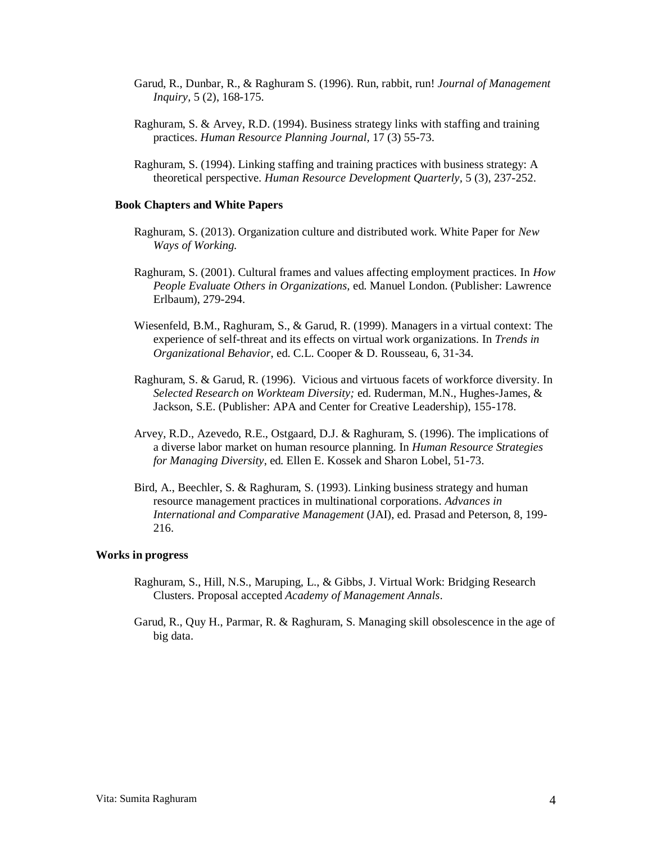- Garud, R., Dunbar, R., & Raghuram S. (1996). Run, rabbit, run! *Journal of Management Inquiry,* 5 (2), 168-175.
- Raghuram, S. & Arvey, R.D. (1994). Business strategy links with staffing and training practices. *Human Resource Planning Journal,* 17 (3) 55-73.
- Raghuram, S. (1994). Linking staffing and training practices with business strategy: A theoretical perspective. *Human Resource Development Quarterly,* 5 (3), 237-252.

#### **Book Chapters and White Papers**

- Raghuram, S. (2013). Organization culture and distributed work. White Paper for *New Ways of Working.*
- Raghuram, S. (2001). Cultural frames and values affecting employment practices. In *How People Evaluate Others in Organizations,* ed. Manuel London. (Publisher: Lawrence Erlbaum), 279-294.
- Wiesenfeld, B.M., Raghuram, S., & Garud, R. (1999). Managers in a virtual context: The experience of self-threat and its effects on virtual work organizations. In *Trends in Organizational Behavior*, ed. C.L. Cooper & D. Rousseau, 6, 31-34.
- Raghuram, S. & Garud, R. (1996). Vicious and virtuous facets of workforce diversity. In *Selected Research on Workteam Diversity;* ed. Ruderman, M.N., Hughes-James, & Jackson, S.E. (Publisher: APA and Center for Creative Leadership), 155-178.
- Arvey, R.D., Azevedo, R.E., Ostgaard, D.J. & Raghuram, S. (1996). The implications of a diverse labor market on human resource planning. In *Human Resource Strategies for Managing Diversity*, ed. Ellen E. Kossek and Sharon Lobel, 51-73.
- Bird, A., Beechler, S. & Raghuram, S. (1993). Linking business strategy and human resource management practices in multinational corporations. *Advances in International and Comparative Management* (JAI), ed. Prasad and Peterson, 8, 199- 216.

#### **Works in progress**

- Raghuram, S., Hill, N.S., Maruping, L., & Gibbs, J. Virtual Work: Bridging Research Clusters. Proposal accepted *Academy of Management Annals*.
- Garud, R., Quy H., Parmar, R. & Raghuram, S. Managing skill obsolescence in the age of big data.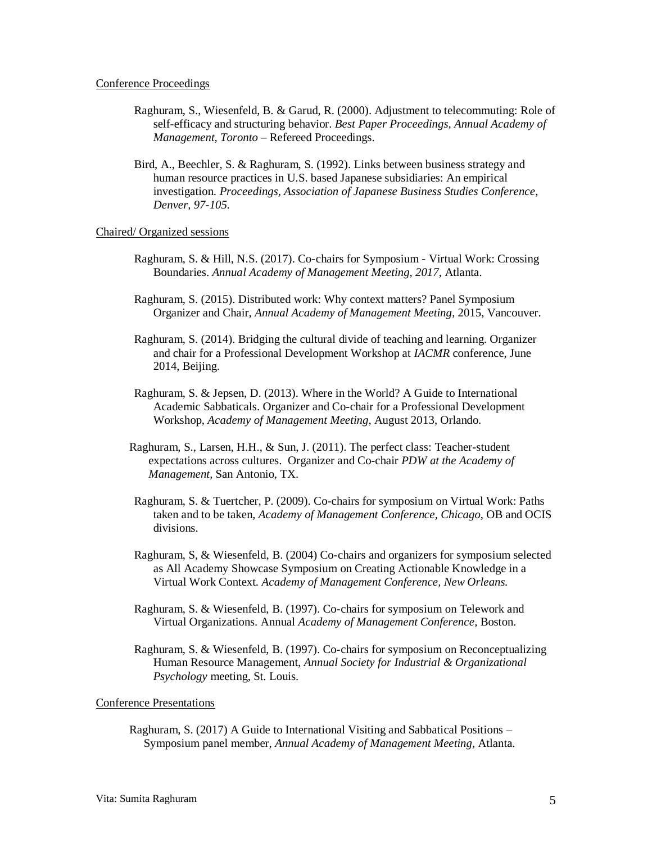#### Conference Proceedings

- Raghuram, S., Wiesenfeld, B. & Garud, R. (2000). Adjustment to telecommuting: Role of self-efficacy and structuring behavior. *Best Paper Proceedings, Annual Academy of Management, Toronto* – Refereed Proceedings.
- Bird, A., Beechler, S. & Raghuram, S. (1992)*.* Links between business strategy and human resource practices in U.S. based Japanese subsidiaries: An empirical investigation. *Proceedings, Association of Japanese Business Studies Conference, Denver, 97-105.*

# Chaired/ Organized sessions

- Raghuram, S. & Hill, N.S. (2017). Co-chairs for Symposium Virtual Work: Crossing Boundaries. *Annual Academy of Management Meeting, 2017,* Atlanta.
- Raghuram, S. (2015). Distributed work: Why context matters? Panel Symposium Organizer and Chair, *Annual Academy of Management Meeting*, 2015, Vancouver.
- Raghuram, S. (2014). Bridging the cultural divide of teaching and learning. Organizer and chair for a Professional Development Workshop at *IACMR* conference, June 2014, Beijing.
- Raghuram, S. & Jepsen, D. (2013). Where in the World? A Guide to International Academic Sabbaticals. Organizer and Co-chair for a Professional Development Workshop, *Academy of Management Meeting*, August 2013, Orlando.
- Raghuram, S., Larsen, H.H., & Sun, J. (2011). The perfect class: Teacher-student expectations across cultures. Organizer and Co-chair *PDW at the Academy of Management*, San Antonio, TX.
- Raghuram, S. & Tuertcher, P. (2009). Co-chairs for symposium on Virtual Work: Paths taken and to be taken, *Academy of Management Conference, Chicago*, OB and OCIS divisions.
- Raghuram, S, & Wiesenfeld, B. (2004) Co-chairs and organizers for symposium selected as All Academy Showcase Symposium on Creating Actionable Knowledge in a Virtual Work Context. *Academy of Management Conference, New Orleans.*
- Raghuram, S. & Wiesenfeld, B. (1997). Co-chairs for symposium on Telework and Virtual Organizations. Annual *Academy of Management Conference,* Boston.
- Raghuram, S. & Wiesenfeld, B. (1997). Co-chairs for symposium on Reconceptualizing Human Resource Management, *Annual Society for Industrial & Organizational Psychology* meeting, St. Louis.

# Conference Presentations

Raghuram, S. (2017) A Guide to International Visiting and Sabbatical Positions – Symposium panel member, *Annual Academy of Management Meeting,* Atlanta*.*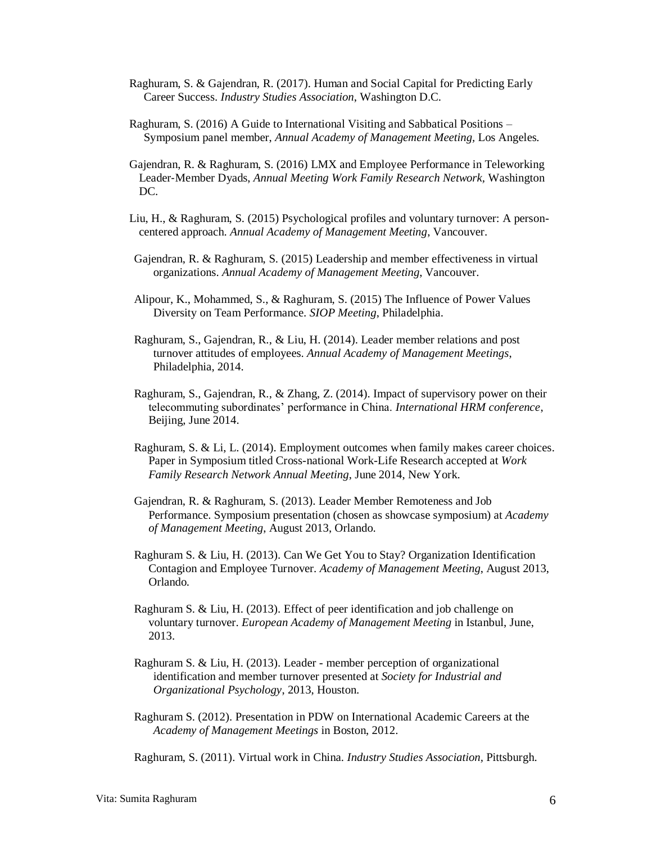- Raghuram, S. & Gajendran, R. (2017). Human and Social Capital for Predicting Early Career Success. *Industry Studies Association*, Washington D.C.
- Raghuram, S. (2016) A Guide to International Visiting and Sabbatical Positions Symposium panel member, *Annual Academy of Management Meeting,* Los Angeles*.*
- Gajendran, R. & Raghuram, S. (2016) LMX and Employee Performance in Teleworking Leader‐Member Dyads, *Annual Meeting Work Family Research Network,* Washington DC.
- Liu, H., & Raghuram, S. (2015) Psychological profiles and voluntary turnover: A personcentered approach. *Annual Academy of Management Meeting*, Vancouver.
- Gajendran, R. & Raghuram, S. (2015) Leadership and member effectiveness in virtual organizations. *Annual Academy of Management Meeting*, Vancouver.
- Alipour, K., Mohammed, S., & Raghuram, S. (2015) The Influence of Power Values Diversity on Team Performance. *SIOP Meeting*, Philadelphia.
- Raghuram, S., Gajendran, R., & Liu, H. (2014). Leader member relations and post turnover attitudes of employees. *Annual Academy of Management Meetings*, Philadelphia, 2014.
- Raghuram, S., Gajendran, R., & Zhang, Z. (2014). Impact of supervisory power on their telecommuting subordinates' performance in China. *International HRM conference*, Beijing, June 2014.
- Raghuram, S. & Li, L. (2014). Employment outcomes when family makes career choices. Paper in Symposium titled Cross-national Work-Life Research accepted at *Work Family Research Network Annual Meeting*, June 2014, New York.
- Gajendran, R. & Raghuram, S. (2013). Leader Member Remoteness and Job Performance. Symposium presentation (chosen as showcase symposium) at *Academy of Management Meeting*, August 2013, Orlando.
- Raghuram S. & Liu, H. (2013). Can We Get You to Stay? Organization Identification Contagion and Employee Turnover. *Academy of Management Meeting*, August 2013, Orlando.
- Raghuram S. & Liu, H. (2013). Effect of peer identification and job challenge on voluntary turnover. *European Academy of Management Meeting* in Istanbul, June, 2013.
- Raghuram S. & Liu, H. (2013). Leader member perception of organizational identification and member turnover presented at *Society for Industrial and Organizational Psychology*, 2013, Houston.
- Raghuram S. (2012). Presentation in PDW on International Academic Careers at the *Academy of Management Meetings* in Boston, 2012.

Raghuram, S. (2011). Virtual work in China. *Industry Studies Association,* Pittsburgh.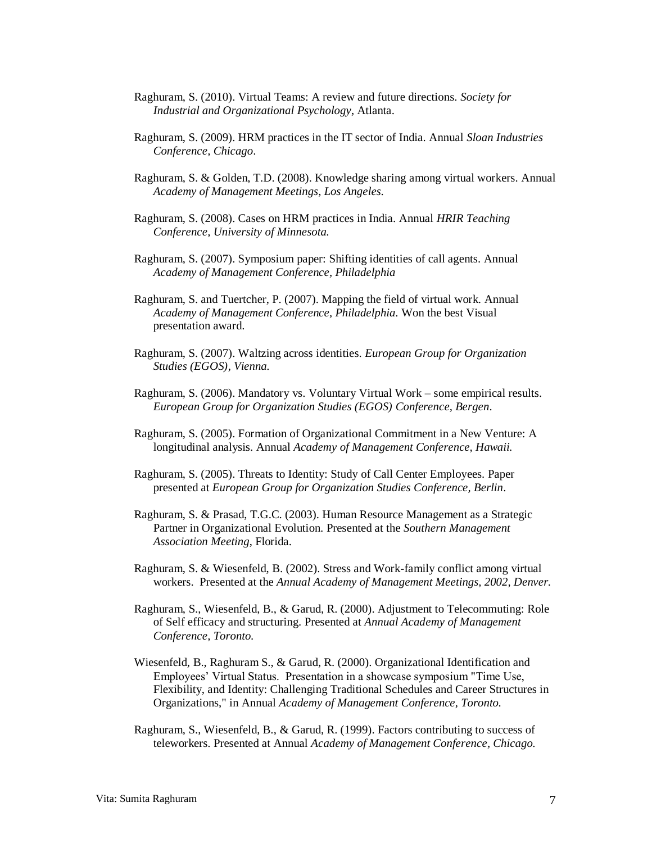- Raghuram, S. (2010). Virtual Teams: A review and future directions. *Society for Industrial and Organizational Psychology*, Atlanta.
- Raghuram, S. (2009). HRM practices in the IT sector of India. Annual *Sloan Industries Conference, Chicago*.
- Raghuram, S. & Golden, T.D. (2008). Knowledge sharing among virtual workers*.* Annual *Academy of Management Meetings, Los Angeles.*
- Raghuram, S. (2008). Cases on HRM practices in India. Annual *HRIR Teaching Conference, University of Minnesota.*
- Raghuram, S. (2007). Symposium paper: Shifting identities of call agents. Annual *Academy of Management Conference, Philadelphia*
- Raghuram, S. and Tuertcher, P. (2007). Mapping the field of virtual work. Annual *Academy of Management Conference, Philadelphia.* Won the best Visual presentation award.
- Raghuram, S. (2007). Waltzing across identities. *European Group for Organization Studies (EGOS), Vienna.*
- Raghuram, S. (2006). Mandatory vs. Voluntary Virtual Work some empirical results. *European Group for Organization Studies (EGOS) Conference, Bergen*.
- Raghuram, S. (2005). Formation of Organizational Commitment in a New Venture: A longitudinal analysis. Annual *Academy of Management Conference, Hawaii.*
- Raghuram, S. (2005). Threats to Identity: Study of Call Center Employees. Paper presented at *European Group for Organization Studies Conference, Berlin*.
- Raghuram, S. & Prasad, T.G.C. (2003). Human Resource Management as a Strategic Partner in Organizational Evolution. Presented at the *Southern Management Association Meeting*, Florida.
- Raghuram, S. & Wiesenfeld, B. (2002). Stress and Work-family conflict among virtual workers. Presented at the *Annual Academy of Management Meetings, 2002, Denver.*
- Raghuram, S., Wiesenfeld, B., & Garud, R. (2000). Adjustment to Telecommuting: Role of Self efficacy and structuring. Presented at *Annual Academy of Management Conference, Toronto.*
- Wiesenfeld, B., Raghuram S., & Garud, R. (2000). Organizational Identification and Employees' Virtual Status. Presentation in a showcase symposium "Time Use, Flexibility, and Identity: Challenging Traditional Schedules and Career Structures in Organizations," in Annual *Academy of Management Conference, Toronto.*
- Raghuram, S., Wiesenfeld, B., & Garud, R. (1999). Factors contributing to success of teleworkers. Presented at Annual *Academy of Management Conference, Chicago.*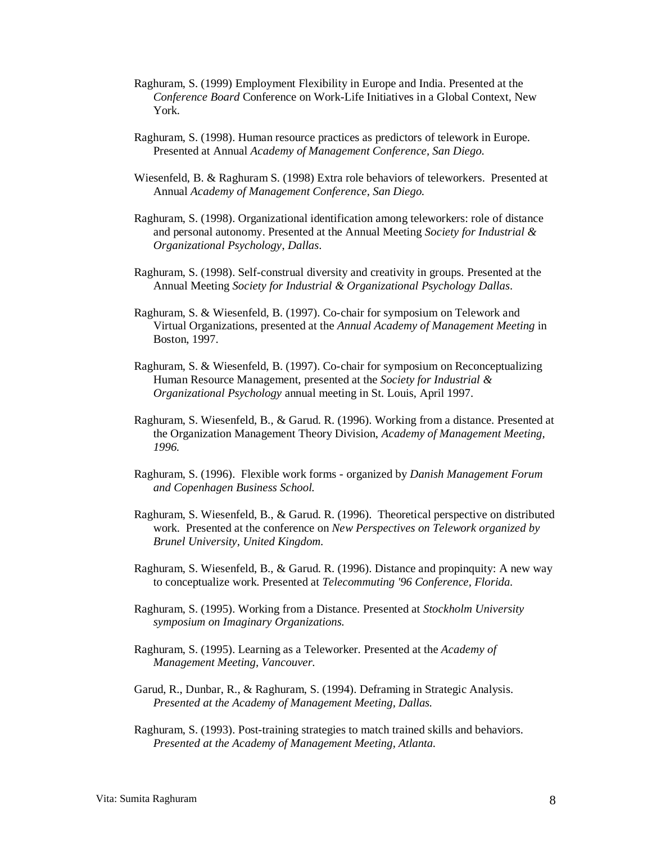- Raghuram, S. (1999) Employment Flexibility in Europe and India. Presented at the *Conference Board* Conference on Work-Life Initiatives in a Global Context, New York.
- Raghuram, S. (1998). Human resource practices as predictors of telework in Europe. Presented at Annual *Academy of Management Conference, San Diego.*
- Wiesenfeld, B. & Raghuram S. (1998) Extra role behaviors of teleworkers. Presented at Annual *Academy of Management Conference, San Diego.*
- Raghuram, S. (1998). Organizational identification among teleworkers: role of distance and personal autonomy. Presented at the Annual Meeting *Society for Industrial & Organizational Psychology*, *Dallas*.
- Raghuram, S. (1998). Self-construal diversity and creativity in groups. Presented at the Annual Meeting *Society for Industrial & Organizational Psychology Dallas*.
- Raghuram, S. & Wiesenfeld, B. (1997). Co-chair for symposium on Telework and Virtual Organizations, presented at the *Annual Academy of Management Meeting* in Boston, 1997.
- Raghuram, S. & Wiesenfeld, B. (1997). Co-chair for symposium on Reconceptualizing Human Resource Management, presented at the *Society for Industrial & Organizational Psychology* annual meeting in St. Louis, April 1997.
- Raghuram, S. Wiesenfeld, B., & Garud. R. (1996). Working from a distance. Presented at the Organization Management Theory Division, *Academy of Management Meeting, 1996.*
- Raghuram, S. (1996). Flexible work forms organized by *Danish Management Forum and Copenhagen Business School.*
- Raghuram, S. Wiesenfeld, B., & Garud. R. (1996). Theoretical perspective on distributed work. Presented at the conference on *New Perspectives on Telework organized by Brunel University, United Kingdom.*
- Raghuram, S. Wiesenfeld, B., & Garud. R. (1996). Distance and propinquity: A new way to conceptualize work. Presented at *Telecommuting '96 Conference, Florida.*
- Raghuram, S. (1995). Working from a Distance. Presented at *Stockholm University symposium on Imaginary Organizations.*
- Raghuram, S. (1995). Learning as a Teleworker. Presented at the *Academy of Management Meeting, Vancouver.*
- Garud, R., Dunbar, R., & Raghuram, S. (1994). Deframing in Strategic Analysis. *Presented at the Academy of Management Meeting, Dallas.*
- Raghuram, S. (1993). Post-training strategies to match trained skills and behaviors. *Presented at the Academy of Management Meeting, Atlanta.*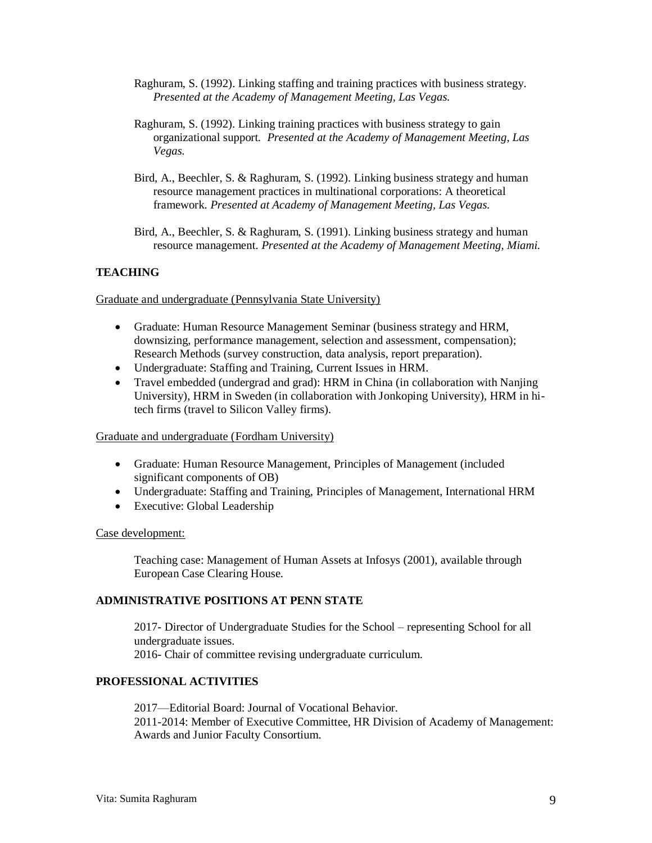- Raghuram, S. (1992). Linking staffing and training practices with business strategy. *Presented at the Academy of Management Meeting, Las Vegas.*
- Raghuram, S. (1992)*.* Linking training practices with business strategy to gain organizational support*. Presented at the Academy of Management Meeting, Las Vegas.*
- Bird, A., Beechler, S. & Raghuram, S. (1992). Linking business strategy and human resource management practices in multinational corporations: A theoretical framework. *Presented at Academy of Management Meeting, Las Vegas.*

Bird, A., Beechler, S. & Raghuram, S. (1991). Linking business strategy and human resource management. *Presented at the Academy of Management Meeting, Miami.* 

# **TEACHING**

Graduate and undergraduate (Pennsylvania State University)

- Graduate: Human Resource Management Seminar (business strategy and HRM, downsizing, performance management, selection and assessment, compensation); Research Methods (survey construction, data analysis, report preparation).
- Undergraduate: Staffing and Training, Current Issues in HRM.
- Travel embedded (undergrad and grad): HRM in China (in collaboration with Nanjing University), HRM in Sweden (in collaboration with Jonkoping University), HRM in hitech firms (travel to Silicon Valley firms).

### Graduate and undergraduate (Fordham University)

- Graduate: Human Resource Management, Principles of Management (included significant components of OB)
- Undergraduate: Staffing and Training, Principles of Management, International HRM
- Executive: Global Leadership

### Case development:

Teaching case: Management of Human Assets at Infosys (2001), available through European Case Clearing House.

# **ADMINISTRATIVE POSITIONS AT PENN STATE**

2017- Director of Undergraduate Studies for the School – representing School for all undergraduate issues. 2016- Chair of committee revising undergraduate curriculum.

# **PROFESSIONAL ACTIVITIES**

2017—Editorial Board: Journal of Vocational Behavior. 2011-2014: Member of Executive Committee, HR Division of Academy of Management: Awards and Junior Faculty Consortium.